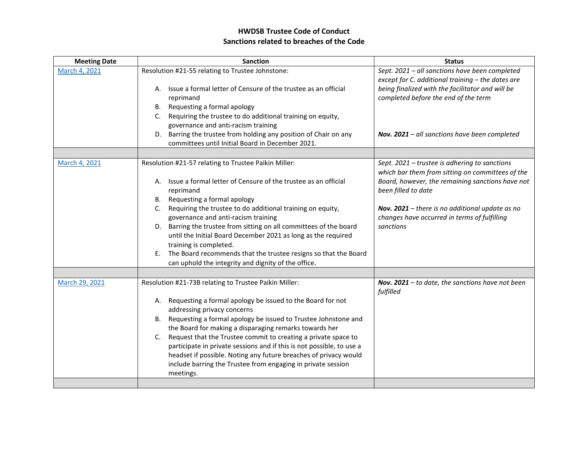## **HWDSB Trustee Code of Conduct Sanctions related to breaches of the Code**

| <b>Meeting Date</b> | <b>Sanction</b>                                                                                 | <b>Status</b>                                                                                       |
|---------------------|-------------------------------------------------------------------------------------------------|-----------------------------------------------------------------------------------------------------|
| March 4, 2021       | Resolution #21-55 relating to Trustee Johnstone:                                                | Sept. 2021 - all sanctions have been completed<br>except for C. additional training - the dates are |
|                     | Issue a formal letter of Censure of the trustee as an official<br>А.<br>reprimand               | being finalized with the facilitator and will be<br>completed before the end of the term            |
|                     | Requesting a formal apology<br>В.                                                               |                                                                                                     |
|                     | Requiring the trustee to do additional training on equity,<br>C.                                |                                                                                                     |
|                     | governance and anti-racism training                                                             |                                                                                                     |
|                     | D. Barring the trustee from holding any position of Chair on any                                | Nov. 2021 - all sanctions have been completed                                                       |
|                     | committees until Initial Board in December 2021.                                                |                                                                                                     |
|                     |                                                                                                 |                                                                                                     |
| March 4, 2021       | Resolution #21-57 relating to Trustee Paikin Miller:                                            | Sept. 2021 – trustee is adhering to sanctions<br>which bar them from sitting on committees of the   |
|                     | A. Issue a formal letter of Censure of the trustee as an official<br>reprimand                  | Board, however, the remaining sanctions have not<br>been filled to date                             |
|                     | B. Requesting a formal apology                                                                  |                                                                                                     |
|                     | Requiring the trustee to do additional training on equity,<br>C.                                | Nov. $2021$ – there is no additional update as no                                                   |
|                     | governance and anti-racism training                                                             | changes have occurred in terms of fulfilling                                                        |
|                     | D. Barring the trustee from sitting on all committees of the board                              | sanctions                                                                                           |
|                     | until the Initial Board December 2021 as long as the required                                   |                                                                                                     |
|                     | training is completed.                                                                          |                                                                                                     |
|                     | The Board recommends that the trustee resigns so that the Board<br>Е.                           |                                                                                                     |
|                     | can uphold the integrity and dignity of the office.                                             |                                                                                                     |
|                     |                                                                                                 |                                                                                                     |
| March 29, 2021      | Resolution #21-73B relating to Trustee Paikin Miller:                                           | Nov. $2021$ – to date, the sanctions have not been                                                  |
|                     |                                                                                                 | fulfilled                                                                                           |
|                     | Requesting a formal apology be issued to the Board for not<br>А.<br>addressing privacy concerns |                                                                                                     |
|                     | Requesting a formal apology be issued to Trustee Johnstone and<br>В.                            |                                                                                                     |
|                     | the Board for making a disparaging remarks towards her                                          |                                                                                                     |
|                     | Request that the Trustee commit to creating a private space to<br>C.                            |                                                                                                     |
|                     | participate in private sessions and if this is not possible, to use a                           |                                                                                                     |
|                     | headset if possible. Noting any future breaches of privacy would                                |                                                                                                     |
|                     | include barring the Trustee from engaging in private session                                    |                                                                                                     |
|                     | meetings.                                                                                       |                                                                                                     |
|                     |                                                                                                 |                                                                                                     |